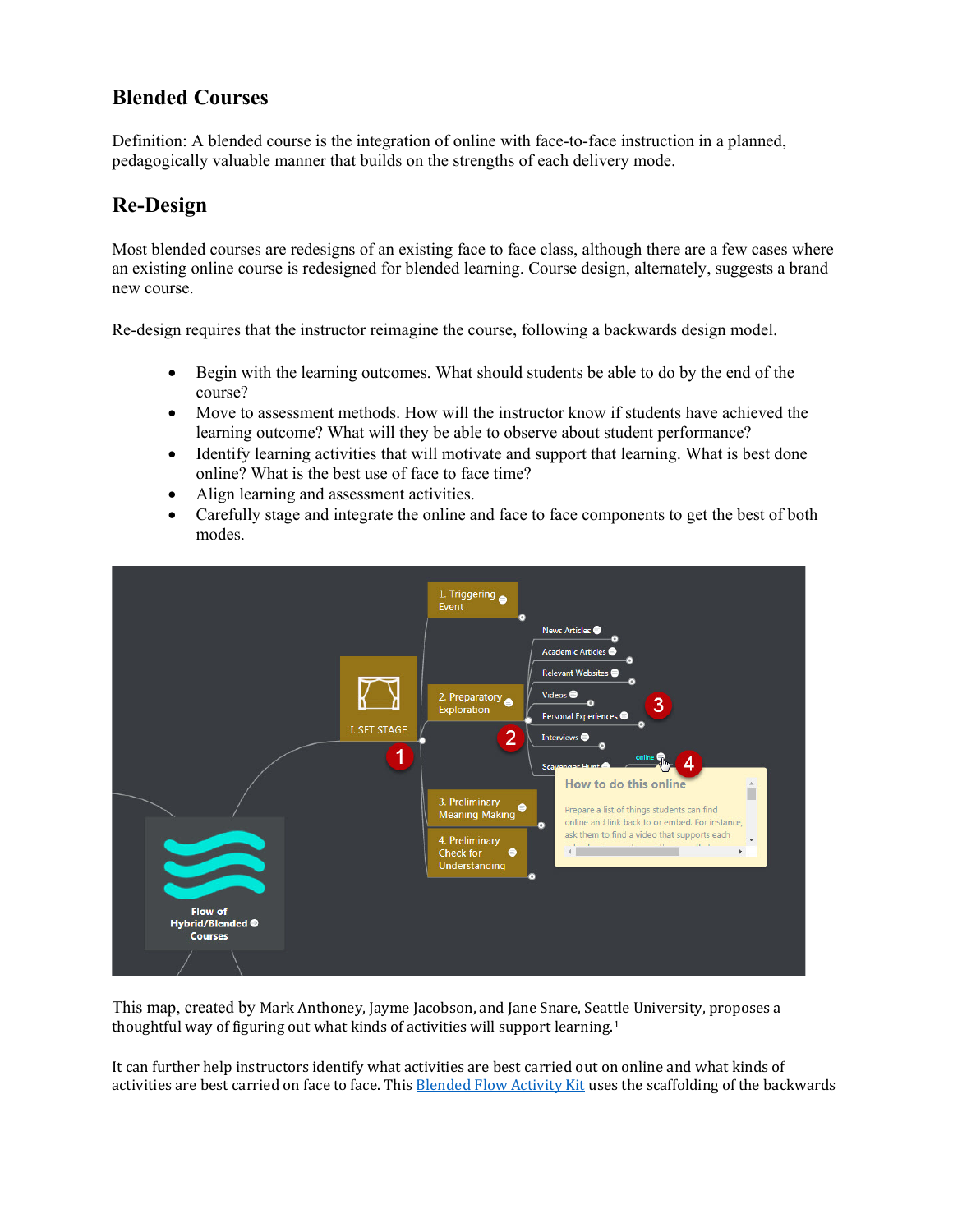## **Blended Courses**

Definition: A blended course is the integration of online with face-to-face instruction in a planned, pedagogically valuable manner that builds on the strengths of each delivery mode.

## **Re-Design**

Most blended courses are redesigns of an existing face to face class, although there are a few cases where an existing online course is redesigned for blended learning. Course design, alternately, suggests a brand new course.

Re-design requires that the instructor reimagine the course, following a backwards design model.

- Begin with the learning outcomes. What should students be able to do by the end of the course?
- Move to assessment methods. How will the instructor know if students have achieved the learning outcome? What will they be able to observe about student performance?
- Identify learning activities that will motivate and support that learning. What is best done online? What is the best use of face to face time?
- Align learning and assessment activities.
- Carefully stage and integrate the online and face to face components to get the best of both modes.



This map, created by Mark Anthoney, Jayme Jacobson, and Jane Snare, Seattle University, proposes a thoughtful way of figuring out what kinds of activities will support learning.<sup>[1](#page-1-0)</sup>

It can further help instructors identify what activities are best carried out on online and what kinds of activities are best carried on face to face. This **Blended Flow Activity Kit** uses the scaffolding of the backwards